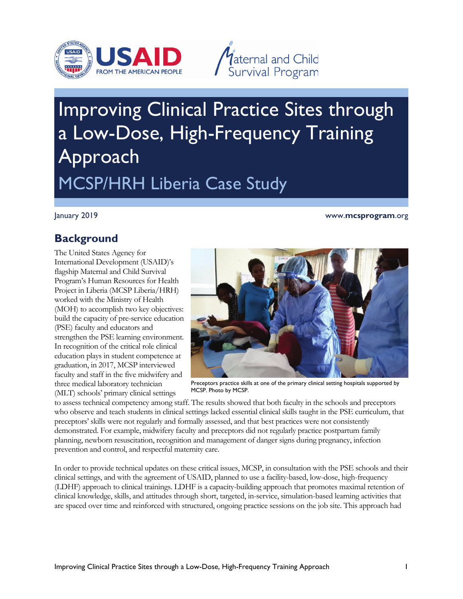



# Improving Clinical Practice Sites through a Low-Dose, High-Frequency Training Approach MCSP/HRH Liberia Case Study

January 2019 www.**mcsprogram**.org

# **Background**

The United States Agency for International Development (USAID)'s flagship Maternal and Child Survival Program's Human Resources for Health Project in Liberia (MCSP Liberia/HRH) worked with the Ministry of Health (MOH) to accomplish two key objectives: build the capacity of pre-service education (PSE) faculty and educators and strengthen the PSE learning environment. In recognition of the critical role clinical education plays in student competence at graduation, in 2017, MCSP interviewed faculty and staff in the five midwifery and three medical laboratory technician (MLT) schools' primary clinical settings



Preceptors practice skills at one of the primary clinical setting hospitals supported by MCSP. Photo by MCSP.

to assess technical competency among staff. The results showed that both faculty in the schools and preceptors who observe and teach students in clinical settings lacked essential clinical skills taught in the PSE curriculum, that preceptors' skills were not regularly and formally assessed, and that best practices were not consistently demonstrated. For example, midwifery faculty and preceptors did not regularly practice postpartum family planning, newborn resuscitation, recognition and management of danger signs during pregnancy, infection prevention and control, and respectful maternity care.

In order to provide technical updates on these critical issues, MCSP, in consultation with the PSE schools and their clinical settings, and with the agreement of USAID, planned to use a facility-based, low-dose, high-frequency (LDHF) approach to clinical trainings. LDHF is a capacity-building approach that promotes maximal retention of clinical knowledge, skills, and attitudes through short, targeted, in-service, simulation-based learning activities that are spaced over time and reinforced with structured, ongoing practice sessions on the job site. This approach had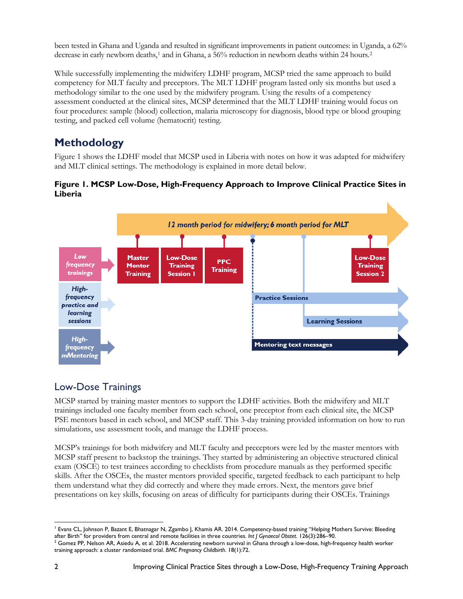been tested in Ghana and Uganda and resulted in significant improvements in patient outcomes: in Uganda, a 62% decrease in early newborn deaths,<sup>[1](#page-1-0)</sup> and in Ghana, a 56% reduction in newborn deaths within [2](#page-1-1)4 hours.<sup>2</sup>

While successfully implementing the midwifery LDHF program, MCSP tried the same approach to build competency for MLT faculty and preceptors. The MLT LDHF program lasted only six months but used a methodology similar to the one used by the midwifery program. Using the results of a competency assessment conducted at the clinical sites, MCSP determined that the MLT LDHF training would focus on four procedures: sample (blood) collection, malaria microscopy for diagnosis, blood type or blood grouping testing, and packed cell volume (hematocrit) testing.

# **Methodology**

Figure 1 shows the LDHF model that MCSP used in Liberia with notes on how it was adapted for midwifery and MLT clinical settings. The methodology is explained in more detail below.

#### **Figure 1. MCSP Low-Dose, High-Frequency Approach to Improve Clinical Practice Sites in Liberia**



## Low-Dose Trainings

MCSP started by training master mentors to support the LDHF activities. Both the midwifery and MLT trainings included one faculty member from each school, one preceptor from each clinical site, the MCSP PSE mentors based in each school, and MCSP staff. This 3-day training provided information on how to run simulations, use assessment tools, and manage the LDHF process.

MCSP's trainings for both midwifery and MLT faculty and preceptors were led by the master mentors with MCSP staff present to backstop the trainings. They started by administering an objective structured clinical exam (OSCE) to test trainees according to checklists from procedure manuals as they performed specific skills. After the OSCEs, the master mentors provided specific, targeted feedback to each participant to help them understand what they did correctly and where they made errors. Next, the mentors gave brief presentations on key skills, focusing on areas of difficulty for participants during their OSCEs. Trainings

<span id="page-1-0"></span>l <sup>1</sup> Evans CL, Johnson P, Bazant E, Bhatnagar N, Zgambo J, Khamis AR. 2014. Competency-based training "Helping Mothers Survive: Bleeding after Birth" for providers from central and remote facilities in three countries. *Int J Gynaecol Obstet*. 126(3):286–90.

<span id="page-1-1"></span><sup>&</sup>lt;sup>2</sup> Gomez PP, Nelson AR, Asiedu A, et al. 2018. Accelerating newborn survival in Ghana through a low-dose, high-frequency health worker training approach: a cluster randomized trial. *BMC Pregnancy Childbirth*. 18(1):72.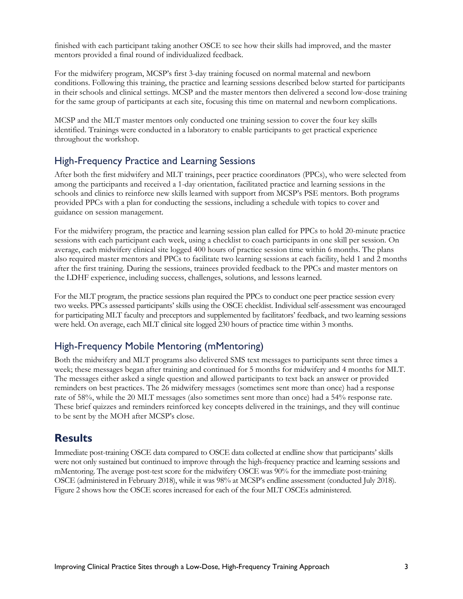finished with each participant taking another OSCE to see how their skills had improved, and the master mentors provided a final round of individualized feedback.

For the midwifery program, MCSP's first 3-day training focused on normal maternal and newborn conditions. Following this training, the practice and learning sessions described below started for participants in their schools and clinical settings. MCSP and the master mentors then delivered a second low-dose training for the same group of participants at each site, focusing this time on maternal and newborn complications.

MCSP and the MLT master mentors only conducted one training session to cover the four key skills identified. Trainings were conducted in a laboratory to enable participants to get practical experience throughout the workshop.

#### High-Frequency Practice and Learning Sessions

After both the first midwifery and MLT trainings, peer practice coordinators (PPCs), who were selected from among the participants and received a 1-day orientation, facilitated practice and learning sessions in the schools and clinics to reinforce new skills learned with support from MCSP's PSE mentors. Both programs provided PPCs with a plan for conducting the sessions, including a schedule with topics to cover and guidance on session management.

For the midwifery program, the practice and learning session plan called for PPCs to hold 20-minute practice sessions with each participant each week, using a checklist to coach participants in one skill per session. On average, each midwifery clinical site logged 400 hours of practice session time within 6 months. The plans also required master mentors and PPCs to facilitate two learning sessions at each facility, held 1 and 2 months after the first training. During the sessions, trainees provided feedback to the PPCs and master mentors on the LDHF experience, including success, challenges, solutions, and lessons learned.

For the MLT program, the practice sessions plan required the PPCs to conduct one peer practice session every two weeks. PPCs assessed participants' skills using the OSCE checklist. Individual self-assessment was encouraged for participating MLT faculty and preceptors and supplemented by facilitators' feedback, and two learning sessions were held. On average, each MLT clinical site logged 230 hours of practice time within 3 months.

#### High-Frequency Mobile Mentoring (mMentoring)

Both the midwifery and MLT programs also delivered SMS text messages to participants sent three times a week; these messages began after training and continued for 5 months for midwifery and 4 months for MLT. The messages either asked a single question and allowed participants to text back an answer or provided reminders on best practices. The 26 midwifery messages (sometimes sent more than once) had a response rate of 58%, while the 20 MLT messages (also sometimes sent more than once) had a 54% response rate. These brief quizzes and reminders reinforced key concepts delivered in the trainings, and they will continue to be sent by the MOH after MCSP's close.

## **Results**

Immediate post-training OSCE data compared to OSCE data collected at endline show that participants' skills were not only sustained but continued to improve through the high-frequency practice and learning sessions and mMentoring. The average post-test score for the midwifery OSCE was 90% for the immediate post-training OSCE (administered in February 2018), while it was 98% at MCSP's endline assessment (conducted July 2018). Figure 2 shows how the OSCE scores increased for each of the four MLT OSCEs administered.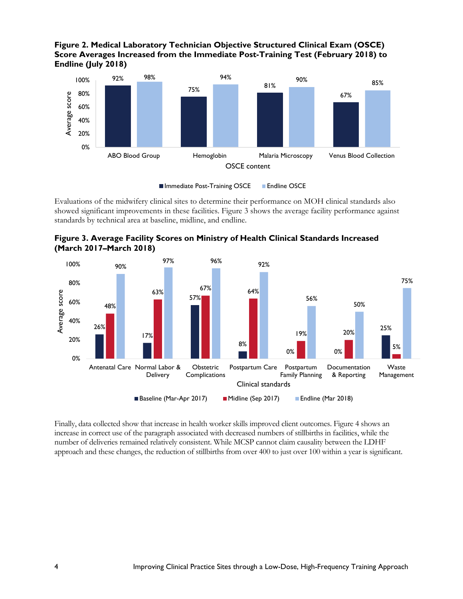**Figure 2. Medical Laboratory Technician Objective Structured Clinical Exam (OSCE) Score Averages Increased from the Immediate Post-Training Test (February 2018) to Endline (July 2018)**



■ Immediate Post-Training OSCE ■ Endline OSCE

Evaluations of the midwifery clinical sites to determine their performance on MOH clinical standards also showed significant improvements in these facilities. Figure 3 shows the average facility performance against standards by technical area at baseline, midline, and endline.





Finally, data collected show that increase in health worker skills improved client outcomes. Figure 4 shows an increase in correct use of the paragraph associated with decreased numbers of stillbirths in facilities, while the number of deliveries remained relatively consistent. While MCSP cannot claim causality between the LDHF approach and these changes, the reduction of stillbirths from over 400 to just over 100 within a year is significant.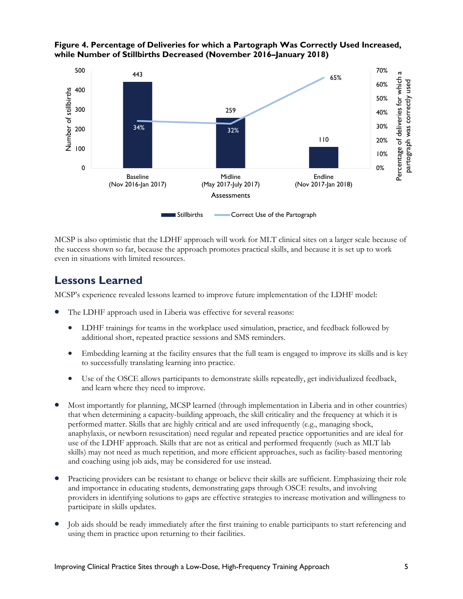

#### **Figure 4. Percentage of Deliveries for which a Partograph Was Correctly Used Increased, while Number of Stillbirths Decreased (November 2016–January 2018)**

MCSP is also optimistic that the LDHF approach will work for MLT clinical sites on a larger scale because of the success shown so far, because the approach promotes practical skills, and because it is set up to work even in situations with limited resources.

## **Lessons Learned**

MCSP's experience revealed lessons learned to improve future implementation of the LDHF model:

- The LDHF approach used in Liberia was effective for several reasons:
	- LDHF trainings for teams in the workplace used simulation, practice, and feedback followed by additional short, repeated practice sessions and SMS reminders.
	- Embedding learning at the facility ensures that the full team is engaged to improve its skills and is key to successfully translating learning into practice.
	- Use of the OSCE allows participants to demonstrate skills repeatedly, get individualized feedback, and learn where they need to improve.
- Most importantly for planning, MCSP learned (through implementation in Liberia and in other countries) that when determining a capacity-building approach, the skill criticality and the frequency at which it is performed matter. Skills that are highly critical and are used infrequently (e.g., managing shock, anaphylaxis, or newborn resuscitation) need regular and repeated practice opportunities and are ideal for use of the LDHF approach. Skills that are not as critical and performed frequently (such as MLT lab skills) may not need as much repetition, and more efficient approaches, such as facility-based mentoring and coaching using job aids, may be considered for use instead.
- Practicing providers can be resistant to change or believe their skills are sufficient. Emphasizing their role and importance in educating students, demonstrating gaps through OSCE results, and involving providers in identifying solutions to gaps are effective strategies to increase motivation and willingness to participate in skills updates.
- Job aids should be ready immediately after the first training to enable participants to start referencing and using them in practice upon returning to their facilities.